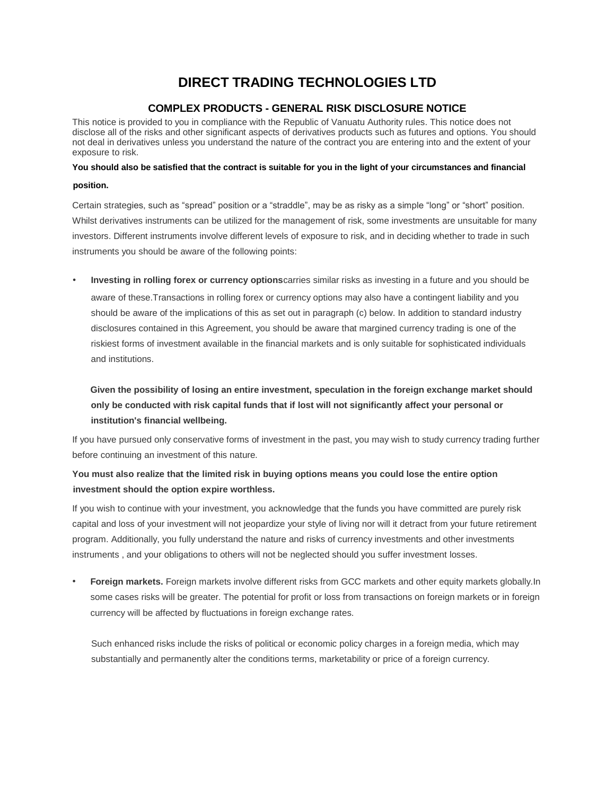# **DIRECT TRADING TECHNOLOGIES LTD**

#### **COMPLEX PRODUCTS - GENERAL RISK DISCLOSURE NOTICE**

This notice is provided to you in compliance with the Republic of Vanuatu Authority rules. This notice does not disclose all of the risks and other significant aspects of derivatives products such as futures and options. You should not deal in derivatives unless you understand the nature of the contract you are entering into and the extent of your exposure to risk.

## **You should also be satisfied that the contract is suitable for you in the light of your circumstances and financial position.**

Certain strategies, such as "spread" position or a "straddle", may be as risky as a simple "long" or "short" position. Whilst derivatives instruments can be utilized for the management of risk, some investments are unsuitable for many investors. Different instruments involve different levels of exposure to risk, and in deciding whether to trade in such instruments you should be aware of the following points:

• **Investing in rolling forex or currency options**carries similar risks as investing in a future and you should be aware of these.Transactions in rolling forex or currency options may also have a contingent liability and you should be aware of the implications of this as set out in paragraph (c) below. In addition to standard industry disclosures contained in this Agreement, you should be aware that margined currency trading is one of the riskiest forms of investment available in the financial markets and is only suitable for sophisticated individuals and institutions.

## **Given the possibility of losing an entire investment, speculation in the foreign exchange market should only be conducted with risk capital funds that if lost will not significantly affect your personal or institution's financial wellbeing.**

If you have pursued only conservative forms of investment in the past, you may wish to study currency trading further before continuing an investment of this nature.

### **You must also realize that the limited risk in buying options means you could lose the entire option investment should the option expire worthless.**

If you wish to continue with your investment, you acknowledge that the funds you have committed are purely risk capital and loss of your investment will not jeopardize your style of living nor will it detract from your future retirement program. Additionally, you fully understand the nature and risks of currency investments and other investments instruments , and your obligations to others will not be neglected should you suffer investment losses.

• **Foreign markets.** Foreign markets involve different risks from GCC markets and other equity markets globally.In some cases risks will be greater. The potential for profit or loss from transactions on foreign markets or in foreign currency will be affected by fluctuations in foreign exchange rates.

Such enhanced risks include the risks of political or economic policy charges in a foreign media, which may substantially and permanently alter the conditions terms, marketability or price of a foreign currency.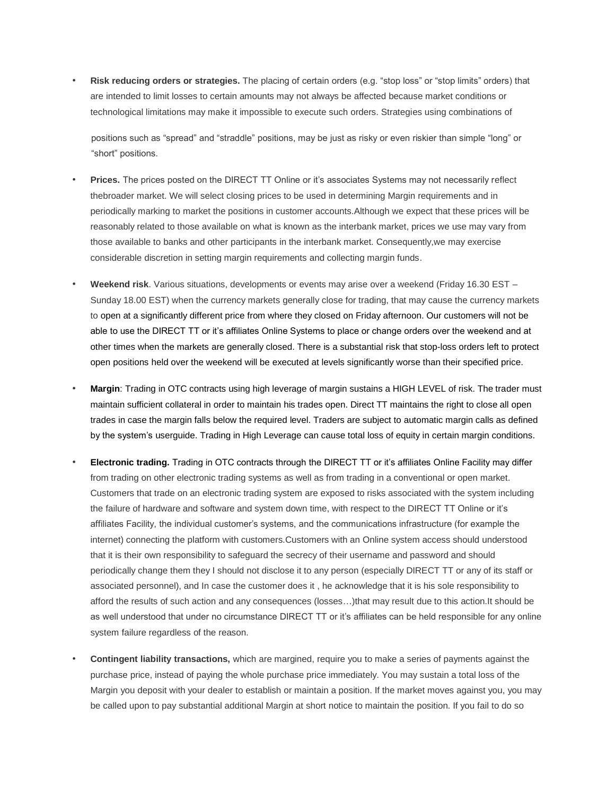• **Risk reducing orders or strategies.** The placing of certain orders (e.g. "stop loss" or "stop limits" orders) that are intended to limit losses to certain amounts may not always be affected because market conditions or technological limitations may make it impossible to execute such orders. Strategies using combinations of

positions such as "spread" and "straddle" positions, may be just as risky or even riskier than simple "long" or "short" positions.

- **Prices.** The prices posted on the DIRECT TT Online or it's associates Systems may not necessarily reflect thebroader market. We will select closing prices to be used in determining Margin requirements and in periodically marking to market the positions in customer accounts.Although we expect that these prices will be reasonably related to those available on what is known as the interbank market, prices we use may vary from those available to banks and other participants in the interbank market. Consequently,we may exercise considerable discretion in setting margin requirements and collecting margin funds.
- **Weekend risk**. Various situations, developments or events may arise over a weekend (Friday 16.30 EST Sunday 18.00 EST) when the currency markets generally close for trading, that may cause the currency markets to open at a significantly different price from where they closed on Friday afternoon. Our customers will not be able to use the DIRECT TT or it's affiliates Online Systems to place or change orders over the weekend and at other times when the markets are generally closed. There is a substantial risk that stop-loss orders left to protect open positions held over the weekend will be executed at levels significantly worse than their specified price.
- **Margin**: Trading in OTC contracts using high leverage of margin sustains a HIGH LEVEL of risk. The trader must maintain sufficient collateral in order to maintain his trades open. Direct TT maintains the right to close all open trades in case the margin falls below the required level. Traders are subject to automatic margin calls as defined by the system's userguide. Trading in High Leverage can cause total loss of equity in certain margin conditions.
- **Electronic trading.** Trading in OTC contracts through the DIRECT TT or it's affiliates Online Facility may differ from trading on other electronic trading systems as well as from trading in a conventional or open market. Customers that trade on an electronic trading system are exposed to risks associated with the system including the failure of hardware and software and system down time, with respect to the DIRECT TT Online or it's affiliates Facility, the individual customer's systems, and the communications infrastructure (for example the internet) connecting the platform with customers.Customers with an Online system access should understood that it is their own responsibility to safeguard the secrecy of their username and password and should periodically change them they I should not disclose it to any person (especially DIRECT TT or any of its staff or associated personnel), and In case the customer does it , he acknowledge that it is his sole responsibility to afford the results of such action and any consequences (losses…)that may result due to this action.It should be as well understood that under no circumstance DIRECT TT or it's affiliates can be held responsible for any online system failure regardless of the reason.
- **Contingent liability transactions,** which are margined, require you to make a series of payments against the purchase price, instead of paying the whole purchase price immediately. You may sustain a total loss of the Margin you deposit with your dealer to establish or maintain a position. If the market moves against you, you may be called upon to pay substantial additional Margin at short notice to maintain the position. If you fail to do so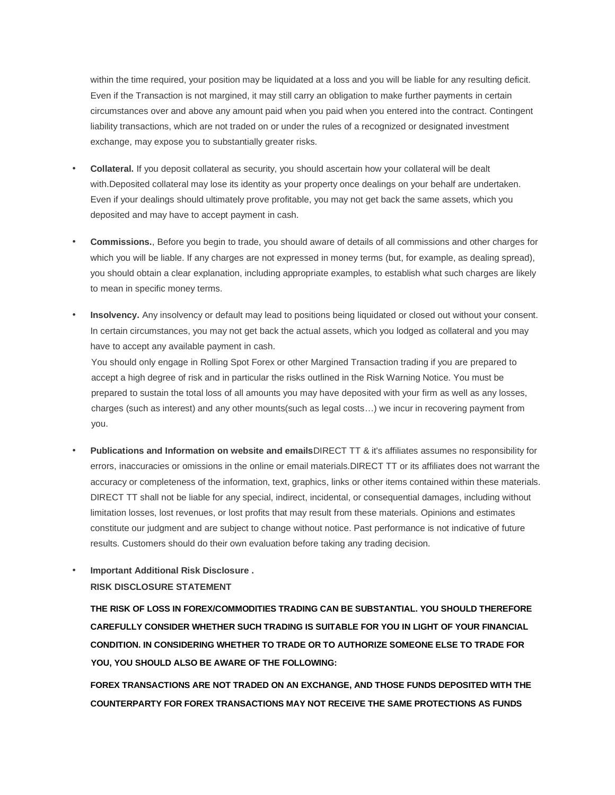within the time required, your position may be liquidated at a loss and you will be liable for any resulting deficit. Even if the Transaction is not margined, it may still carry an obligation to make further payments in certain circumstances over and above any amount paid when you paid when you entered into the contract. Contingent liability transactions, which are not traded on or under the rules of a recognized or designated investment exchange, may expose you to substantially greater risks.

- **Collateral.** If you deposit collateral as security, you should ascertain how your collateral will be dealt with.Deposited collateral may lose its identity as your property once dealings on your behalf are undertaken. Even if your dealings should ultimately prove profitable, you may not get back the same assets, which you deposited and may have to accept payment in cash.
- **Commissions.**, Before you begin to trade, you should aware of details of all commissions and other charges for which you will be liable. If any charges are not expressed in money terms (but, for example, as dealing spread), you should obtain a clear explanation, including appropriate examples, to establish what such charges are likely to mean in specific money terms.
- **Insolvency.** Any insolvency or default may lead to positions being liquidated or closed out without your consent. In certain circumstances, you may not get back the actual assets, which you lodged as collateral and you may have to accept any available payment in cash.

You should only engage in Rolling Spot Forex or other Margined Transaction trading if you are prepared to accept a high degree of risk and in particular the risks outlined in the Risk Warning Notice. You must be prepared to sustain the total loss of all amounts you may have deposited with your firm as well as any losses, charges (such as interest) and any other mounts(such as legal costs…) we incur in recovering payment from you.

- **Publications and Information on website and emails**DIRECT TT & it's affiliates assumes no responsibility for errors, inaccuracies or omissions in the online or email materials.DIRECT TT or its affiliates does not warrant the accuracy or completeness of the information, text, graphics, links or other items contained within these materials. DIRECT TT shall not be liable for any special, indirect, incidental, or consequential damages, including without limitation losses, lost revenues, or lost profits that may result from these materials. Opinions and estimates constitute our judgment and are subject to change without notice. Past performance is not indicative of future results. Customers should do their own evaluation before taking any trading decision.
- **Important Additional Risk Disclosure . RISK DISCLOSURE STATEMENT**

**THE RISK OF LOSS IN FOREX/COMMODITIES TRADING CAN BE SUBSTANTIAL. YOU SHOULD THEREFORE CAREFULLY CONSIDER WHETHER SUCH TRADING IS SUITABLE FOR YOU IN LIGHT OF YOUR FINANCIAL CONDITION. IN CONSIDERING WHETHER TO TRADE OR TO AUTHORIZE SOMEONE ELSE TO TRADE FOR YOU, YOU SHOULD ALSO BE AWARE OF THE FOLLOWING:** 

**FOREX TRANSACTIONS ARE NOT TRADED ON AN EXCHANGE, AND THOSE FUNDS DEPOSITED WITH THE COUNTERPARTY FOR FOREX TRANSACTIONS MAY NOT RECEIVE THE SAME PROTECTIONS AS FUNDS**